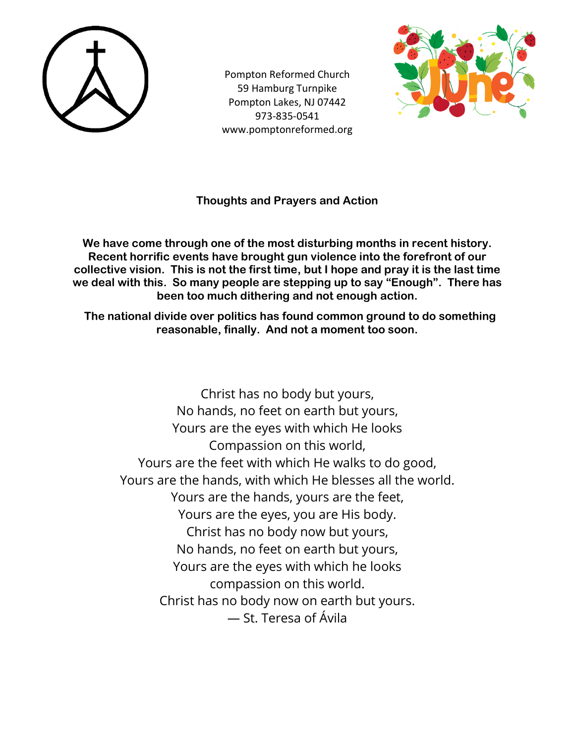

Pompton Reformed Church 59 Hamburg Turnpike Pompton Lakes, NJ 07442 973-835-0541 www.pomptonreformed.org



### **Thoughts and Prayers and Action**

**We have come through one of the most disturbing months in recent history. Recent horrific events have brought gun violence into the forefront of our collective vision. This is not the first time, but I hope and pray it is the last time we deal with this. So many people are stepping up to say "Enough". There has been too much dithering and not enough action.**

 **The national divide over politics has found common ground to do something reasonable, finally. And not a moment too soon.**

Christ has no body but yours, No hands, no feet on earth but yours, Yours are the eyes with which He looks Compassion on this world, Yours are the feet with which He walks to do good, Yours are the hands, with which He blesses all the world. Yours are the hands, yours are the feet, Yours are the eyes, you are His body. Christ has no body now but yours, No hands, no feet on earth but yours, Yours are the eyes with which he looks compassion on this world. Christ has no body now on earth but yours. — St. Teresa of Ávila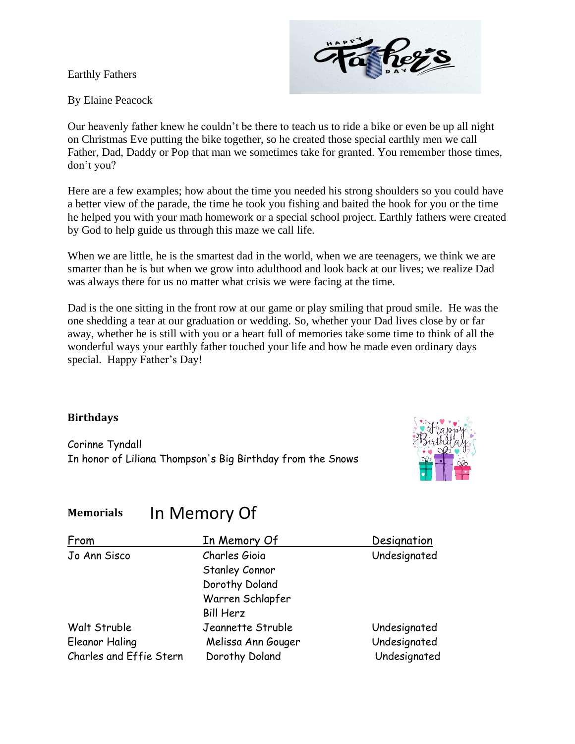Earthly Fathers



By Elaine Peacock

Our heavenly father knew he couldn't be there to teach us to ride a bike or even be up all night on Christmas Eve putting the bike together, so he created those special earthly men we call Father, Dad, Daddy or Pop that man we sometimes take for granted. You remember those times, don't you?

Here are a few examples; how about the time you needed his strong shoulders so you could have a better view of the parade, the time he took you fishing and baited the hook for you or the time he helped you with your math homework or a special school project. Earthly fathers were created by God to help guide us through this maze we call life.

When we are little, he is the smartest dad in the world, when we are teenagers, we think we are smarter than he is but when we grow into adulthood and look back at our lives; we realize Dad was always there for us no matter what crisis we were facing at the time.

Dad is the one sitting in the front row at our game or play smiling that proud smile. He was the one shedding a tear at our graduation or wedding. So, whether your Dad lives close by or far away, whether he is still with you or a heart full of memories take some time to think of all the wonderful ways your earthly father touched your life and how he made even ordinary days special. Happy Father's Day!

#### **Birthdays**

Corinne Tyndall In honor of Liliana Thompson's Big Birthday from the Snows



#### **Memorials** In Memory Of

| From                    | In Memory Of          | Designation  |
|-------------------------|-----------------------|--------------|
| Jo Ann Sisco            | Charles Gioia         | Undesignated |
|                         | <b>Stanley Connor</b> |              |
|                         | Dorothy Doland        |              |
|                         | Warren Schlapfer      |              |
|                         | <b>Bill Herz</b>      |              |
| Walt Struble            | Jeannette Struble     | Undesignated |
| <b>Eleanor Haling</b>   | Melissa Ann Gouger    | Undesignated |
| Charles and Effie Stern | Dorothy Doland        | Undesignated |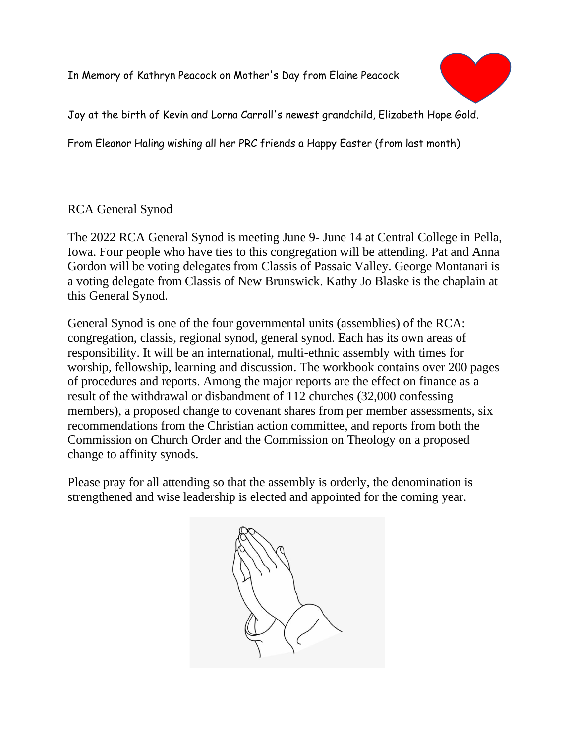In Memory of Kathryn Peacock on Mother's Day from Elaine Peacock



Joy at the birth of Kevin and Lorna Carroll's newest grandchild, Elizabeth Hope Gold.

From Eleanor Haling wishing all her PRC friends a Happy Easter (from last month)

### RCA General Synod

The 2022 RCA General Synod is meeting June 9- June 14 at Central College in Pella, Iowa. Four people who have ties to this congregation will be attending. Pat and Anna Gordon will be voting delegates from Classis of Passaic Valley. George Montanari is a voting delegate from Classis of New Brunswick. Kathy Jo Blaske is the chaplain at this General Synod.

General Synod is one of the four governmental units (assemblies) of the RCA: congregation, classis, regional synod, general synod. Each has its own areas of responsibility. It will be an international, multi-ethnic assembly with times for worship, fellowship, learning and discussion. The workbook contains over 200 pages of procedures and reports. Among the major reports are the effect on finance as a result of the withdrawal or disbandment of 112 churches (32,000 confessing members), a proposed change to covenant shares from per member assessments, six recommendations from the Christian action committee, and reports from both the Commission on Church Order and the Commission on Theology on a proposed change to affinity synods.

Please pray for all attending so that the assembly is orderly, the denomination is strengthened and wise leadership is elected and appointed for the coming year.

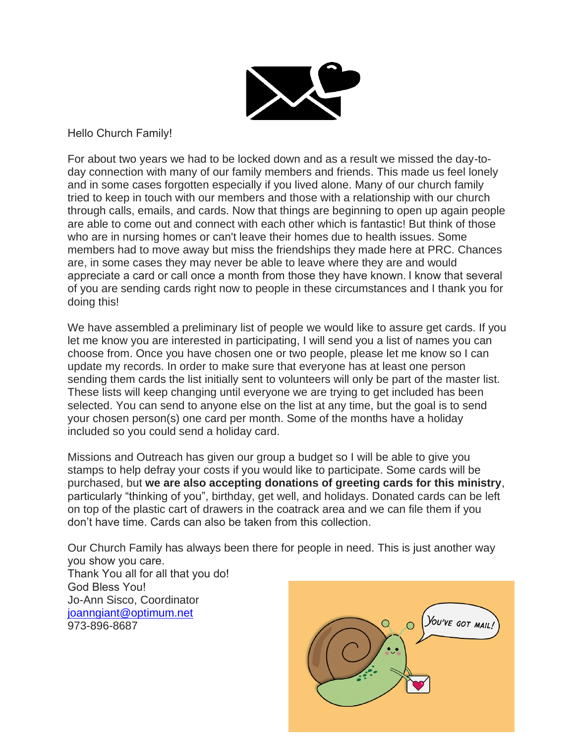

Hello Church Family! 

For about two years we had to be locked down and as a result we missed the day-today connection with many of our family members and friends. This made us feel lonely and in some cases forgotten especially if you lived alone. Many of our church family tried to keep in touch with our members and those with a relationship with our church through calls, emails, and cards. Now that things are beginning to open up again people are able to come out and connect with each other which is fantastic! But think of those who are in nursing homes or can't leave their homes due to health issues. Some members had to move away but miss the friendships they made here at PRC. Chances are, in some cases they may never be able to leave where they are and would appreciate a card or call once a month from those they have known. I know that several of you are sending cards right now to people in these circumstances and I thank you for doing this!

We have assembled a preliminary list of people we would like to assure get cards. If you let me know you are interested in participating, I will send you a list of names you can choose from. Once you have chosen one or two people, please let me know so I can update my records. In order to make sure that everyone has at least one person sending them cards the list initially sent to volunteers will only be part of the master list. These lists will keep changing until everyone we are trying to get included has been selected. You can send to anyone else on the list at any time, but the goal is to send your chosen person(s) one card per month. Some of the months have a holiday included so you could send a holiday card.

Missions and Outreach has given our group a budget so I will be able to give you stamps to help defray your costs if you would like to participate. Some cards will be purchased, but **we are also accepting donations of greeting cards for this ministry**, particularly "thinking of you", birthday, get well, and holidays. Donated cards can be left on top of the plastic cart of drawers in the coatrack area and we can file them if you don't have time. Cards can also be taken from this collection.

Our Church Family has always been there for people in need. This is just another way you show you care. 

Thank You all for all that you do!  God Bless You!  Jo-Ann Sisco, Coordinator [joanngiant@optimum.net](mailto:joanngiant@optimum.net) 973-896-8687

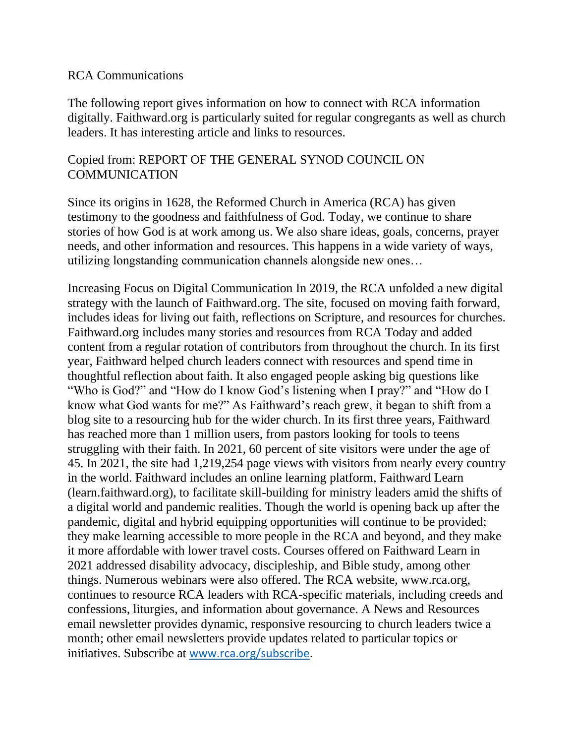#### RCA Communications

The following report gives information on how to connect with RCA information digitally. Faithward.org is particularly suited for regular congregants as well as church leaders. It has interesting article and links to resources.

### Copied from: REPORT OF THE GENERAL SYNOD COUNCIL ON COMMUNICATION

Since its origins in 1628, the Reformed Church in America (RCA) has given testimony to the goodness and faithfulness of God. Today, we continue to share stories of how God is at work among us. We also share ideas, goals, concerns, prayer needs, and other information and resources. This happens in a wide variety of ways, utilizing longstanding communication channels alongside new ones…

Increasing Focus on Digital Communication In 2019, the RCA unfolded a new digital strategy with the launch of Faithward.org. The site, focused on moving faith forward, includes ideas for living out faith, reflections on Scripture, and resources for churches. Faithward.org includes many stories and resources from RCA Today and added content from a regular rotation of contributors from throughout the church. In its first year, Faithward helped church leaders connect with resources and spend time in thoughtful reflection about faith. It also engaged people asking big questions like "Who is God?" and "How do I know God's listening when I pray?" and "How do I know what God wants for me?" As Faithward's reach grew, it began to shift from a blog site to a resourcing hub for the wider church. In its first three years, Faithward has reached more than 1 million users, from pastors looking for tools to teens struggling with their faith. In 2021, 60 percent of site visitors were under the age of 45. In 2021, the site had 1,219,254 page views with visitors from nearly every country in the world. Faithward includes an online learning platform, Faithward Learn (learn.faithward.org), to facilitate skill-building for ministry leaders amid the shifts of a digital world and pandemic realities. Though the world is opening back up after the pandemic, digital and hybrid equipping opportunities will continue to be provided; they make learning accessible to more people in the RCA and beyond, and they make it more affordable with lower travel costs. Courses offered on Faithward Learn in 2021 addressed disability advocacy, discipleship, and Bible study, among other things. Numerous webinars were also offered. The RCA website, www.rca.org, continues to resource RCA leaders with RCA-specific materials, including creeds and confessions, liturgies, and information about governance. A News and Resources email newsletter provides dynamic, responsive resourcing to church leaders twice a month; other email newsletters provide updates related to particular topics or initiatives. Subscribe at [www.rca.org/subscribe.](http://www.rca.org/subscribe)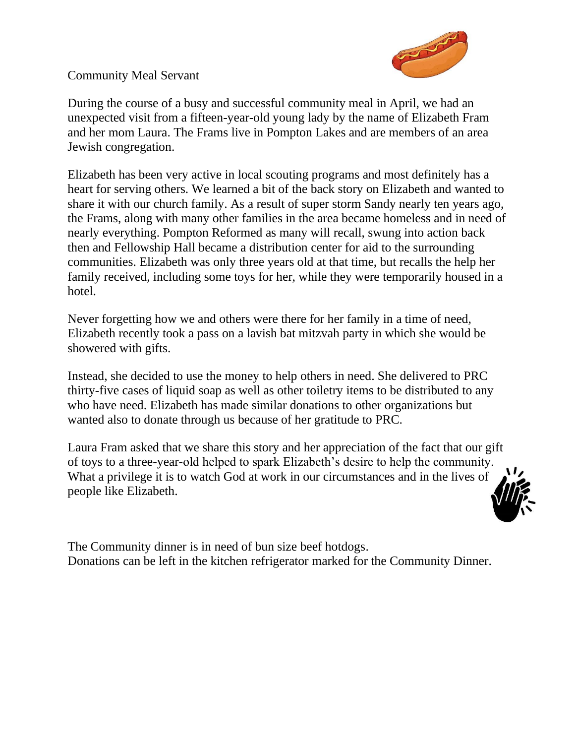Community Meal Servant



During the course of a busy and successful community meal in April, we had an unexpected visit from a fifteen-year-old young lady by the name of Elizabeth Fram and her mom Laura. The Frams live in Pompton Lakes and are members of an area Jewish congregation.

Elizabeth has been very active in local scouting programs and most definitely has a heart for serving others. We learned a bit of the back story on Elizabeth and wanted to share it with our church family. As a result of super storm Sandy nearly ten years ago, the Frams, along with many other families in the area became homeless and in need of nearly everything. Pompton Reformed as many will recall, swung into action back then and Fellowship Hall became a distribution center for aid to the surrounding communities. Elizabeth was only three years old at that time, but recalls the help her family received, including some toys for her, while they were temporarily housed in a hotel.

Never forgetting how we and others were there for her family in a time of need, Elizabeth recently took a pass on a lavish bat mitzvah party in which she would be showered with gifts.

Instead, she decided to use the money to help others in need. She delivered to PRC thirty-five cases of liquid soap as well as other toiletry items to be distributed to any who have need. Elizabeth has made similar donations to other organizations but wanted also to donate through us because of her gratitude to PRC.

Laura Fram asked that we share this story and her appreciation of the fact that our gift of toys to a three-year-old helped to spark Elizabeth's desire to help the community. What a privilege it is to watch God at work in our circumstances and in the lives of people like Elizabeth.

The Community dinner is in need of bun size beef hotdogs. Donations can be left in the kitchen refrigerator marked for the Community Dinner.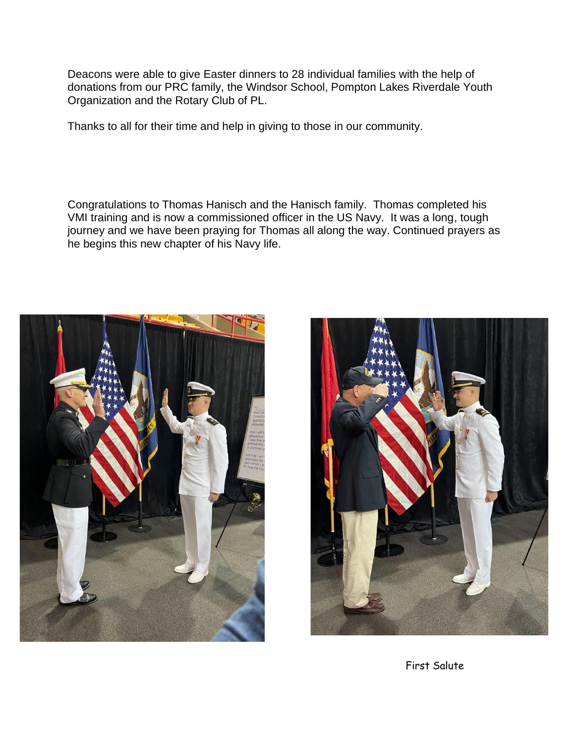Deacons were able to give Easter dinners to 28 individual families with the help of donations from our PRC family, the Windsor School, Pompton Lakes Riverdale Youth Organization and the Rotary Club of PL.

Thanks to all for their time and help in giving to those in our community.

Congratulations to Thomas Hanisch and the Hanisch family. Thomas completed his VMI training and is now a commissioned officer in the US Navy. It was a long, tough journey and we have been praying for Thomas all along the way. Continued prayers as he begins this new chapter of his Navy life.





First Salute